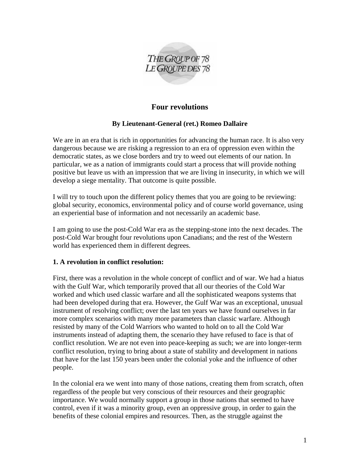

# **Four revolutions**

# **By Lieutenant-General (ret.) Romeo Dallaire**

We are in an era that is rich in opportunities for advancing the human race. It is also very dangerous because we are risking a regression to an era of oppression even within the democratic states, as we close borders and try to weed out elements of our nation. In particular, we as a nation of immigrants could start a process that will provide nothing positive but leave us with an impression that we are living in insecurity, in which we will develop a siege mentality. That outcome is quite possible.

I will try to touch upon the different policy themes that you are going to be reviewing: global security, economics, environmental policy and of course world governance, using an experiential base of information and not necessarily an academic base.

I am going to use the post-Cold War era as the stepping-stone into the next decades. The post-Cold War brought four revolutions upon Canadians; and the rest of the Western world has experienced them in different degrees.

### **1. A revolution in conflict resolution:**

First, there was a revolution in the whole concept of conflict and of war. We had a hiatus with the Gulf War, which temporarily proved that all our theories of the Cold War worked and which used classic warfare and all the sophisticated weapons systems that had been developed during that era. However, the Gulf War was an exceptional, unusual instrument of resolving conflict; over the last ten years we have found ourselves in far more complex scenarios with many more parameters than classic warfare. Although resisted by many of the Cold Warriors who wanted to hold on to all the Cold War instruments instead of adapting them, the scenario they have refused to face is that of conflict resolution. We are not even into peace-keeping as such; we are into longer-term conflict resolution, trying to bring about a state of stability and development in nations that have for the last 150 years been under the colonial yoke and the influence of other people.

In the colonial era we went into many of those nations, creating them from scratch, often regardless of the people but very conscious of their resources and their geographic importance. We would normally support a group in those nations that seemed to have control, even if it was a minority group, even an oppressive group, in order to gain the benefits of these colonial empires and resources. Then, as the struggle against the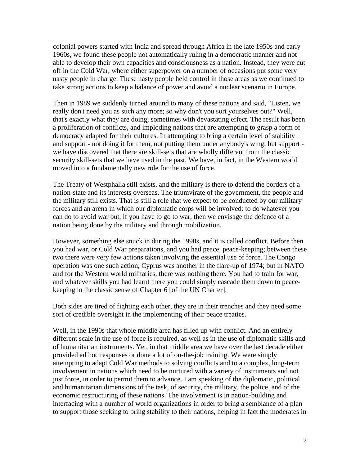colonial powers started with India and spread through Africa in the late 1950s and early 1960s, we found these people not automatically ruling in a democratic manner and not able to develop their own capacities and consciousness as a nation. Instead, they were cut off in the Cold War, where either superpower on a number of occasions put some very nasty people in charge. These nasty people held control in those areas as we continued to take strong actions to keep a balance of power and avoid a nuclear scenario in Europe.

Then in 1989 we suddenly turned around to many of these nations and said, "Listen, we really don't need you as such any more; so why don't you sort yourselves out?" Well, that's exactly what they are doing, sometimes with devastating effect. The result has been a proliferation of conflicts, and imploding nations that are attempting to grasp a form of democracy adapted for their cultures. In attempting to bring a certain level of stability and support - not doing it for them, not putting them under anybody's wing, but support we have discovered that there are skill-sets that are wholly different from the classic security skill-sets that we have used in the past. We have, in fact, in the Western world moved into a fundamentally new role for the use of force.

The Treaty of Westphalia still exists, and the military is there to defend the borders of a nation-state and its interests overseas. The triumvirate of the government, the people and the military still exists. That is still a role that we expect to be conducted by our military forces and an arena in which our diplomatic corps will be involved: to do whatever you can do to avoid war but, if you have to go to war, then we envisage the defence of a nation being done by the military and through mobilization.

However, something else snuck in during the 1990s, and it is called conflict. Before then you had war, or Cold War preparations, and you had peace, peace-keeping; between these two there were very few actions taken involving the essential use of force. The Congo operation was one such action, Cyprus was another in the flare-up of 1974; but in NATO and for the Western world militaries, there was nothing there. You had to train for war, and whatever skills you had learnt there you could simply cascade them down to peacekeeping in the classic sense of Chapter 6 [of the UN Charter].

Both sides are tired of fighting each other, they are in their trenches and they need some sort of credible oversight in the implementing of their peace treaties.

Well, in the 1990s that whole middle area has filled up with conflict. And an entirely different scale in the use of force is required, as well as in the use of diplomatic skills and of humanitarian instruments. Yet, in that middle area we have over the last decade either provided ad hoc responses or done a lot of on-the-job training. We were simply attempting to adapt Cold War methods to solving conflicts and to a complex, long-term involvement in nations which need to be nurtured with a variety of instruments and not just force, in order to permit them to advance. I am speaking of the diplomatic, political and humanitarian dimensions of the task, of security, the military, the police, and of the economic restructuring of these nations. The involvement is in nation-building and interfacing with a number of world organizations in order to bring a semblance of a plan to support those seeking to bring stability to their nations, helping in fact the moderates in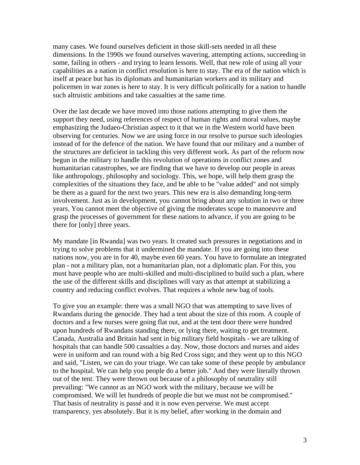many cases. We found ourselves deficient in those skill-sets needed in all these dimensions. In the 1990s we found ourselves wavering, attempting actions, succeeding in some, failing in others - and trying to learn lessons. Well, that new role of using all your capabilities as a nation in conflict resolution is here to stay. The era of the nation which is itself at peace but has its diplomats and humanitarian workers and its military and policemen in war zones is here to stay. It is very difficult politically for a nation to handle such altruistic ambitions and take casualties at the same time.

Over the last decade we have moved into those nations attempting to give them the support they need, using references of respect of human rights and moral values, maybe emphasizing the Judaeo-Christian aspect to it that we in the Western world have been observing for centuries. Now we are using force in our resolve to pursue such ideologies instead of for the defence of the nation. We have found that our military and a number of the structures are deficient in tackling this very different work. As part of the reform now begun in the military to handle this revolution of operations in conflict zones and humanitarian catastrophes, we are finding that we have to develop our people in areas like anthropology, philosophy and sociology. This, we hope, will help them grasp the complexities of the situations they face, and be able to be "value added" and not simply be there as a guard for the next two years. This new era is also demanding long-term involvement. Just as in development, you cannot bring about any solution in two or three years. You cannot meet the objective of giving the moderates scope to manoeuvre and grasp the processes of government for these nations to advance, if you are going to be there for [only] three years.

My mandate [in Rwanda] was two years. It created such pressures in negotiations and in trying to solve problems that it undermined the mandate. If you are going into these nations now, you are in for 40, maybe even 60 years. You have to formulate an integrated plan - not a military plan, not a humanitarian plan, not a diplomatic plan. For this, you must have people who are multi-skilled and multi-disciplined to build such a plan, where the use of the different skills and disciplines will vary as that attempt at stabilizing a country and reducing conflict evolves. That requires a whole new bag of tools.

To give you an example: there was a small NGO that was attempting to save lives of Rwandans during the genocide. They had a tent about the size of this room. A couple of doctors and a few nurses were going flat out, and at the tent door there were hundred upon hundreds of Rwandans standing there, or lying there, waiting to get treatment. Canada, Australia and Britain had sent in big military field hospitals - we are talking of hospitals that can handle 500 casualties a day. Now, those doctors and nurses and aides were in uniform and ran round with a big Red Cross sign; and they went up to this NGO and said, "Listen, we can do your triage. We can take some of these people by ambulance to the hospital. We can help you people do a better job." And they were literally thrown out of the tent. They were thrown out because of a philosophy of neutrality still prevailing: "We cannot as an NGO work with the military, because we will be compromised. We will let hundreds of people die but we must not be compromised." That basis of neutrality is passé and it is now even perverse. We must accept transparency, yes absolutely. But it is my belief, after working in the domain and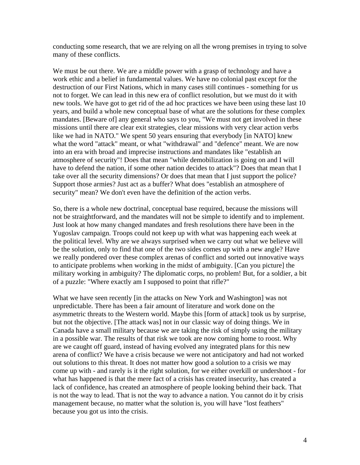conducting some research, that we are relying on all the wrong premises in trying to solve many of these conflicts.

We must be out there. We are a middle power with a grasp of technology and have a work ethic and a belief in fundamental values. We have no colonial past except for the destruction of our First Nations, which in many cases still continues - something for us not to forget. We can lead in this new era of conflict resolution, but we must do it with new tools. We have got to get rid of the ad hoc practices we have been using these last 10 years, and build a whole new conceptual base of what are the solutions for these complex mandates. [Beware of] any general who says to you, "We must not get involved in these missions until there are clear exit strategies, clear missions with very clear action verbs like we had in NATO." We spent 50 years ensuring that everybody [in NATO] knew what the word "attack" meant, or what "withdrawal" and "defence" meant. We are now into an era with broad and imprecise instructions and mandates like "establish an atmosphere of security"! Does that mean "while demobilization is going on and I will have to defend the nation, if some other nation decides to attack"? Does that mean that I take over all the security dimensions? Or does that mean that I just support the police? Support those armies? Just act as a buffer? What does "establish an atmosphere of security" mean? We don't even have the definition of the action verbs.

So, there is a whole new doctrinal, conceptual base required, because the missions will not be straightforward, and the mandates will not be simple to identify and to implement. Just look at how many changed mandates and fresh resolutions there have been in the Yugoslav campaign. Troops could not keep up with what was happening each week at the political level. Why are we always surprised when we carry out what we believe will be the solution, only to find that one of the two sides comes up with a new angle? Have we really pondered over these complex arenas of conflict and sorted out innovative ways to anticipate problems when working in the midst of ambiguity. [Can you picture] the military working in ambiguity? The diplomatic corps, no problem! But, for a soldier, a bit of a puzzle: "Where exactly am I supposed to point that rifle?"

What we have seen recently [in the attacks on New York and Washington] was not unpredictable. There has been a fair amount of literature and work done on the asymmetric threats to the Western world. Maybe this [form of attack] took us by surprise, but not the objective. [The attack was] not in our classic way of doing things. We in Canada have a small military because we are taking the risk of simply using the military in a possible war. The results of that risk we took are now coming home to roost. Why are we caught off guard, instead of having evolved any integrated plans for this new arena of conflict? We have a crisis because we were not anticipatory and had not worked out solutions to this threat. It does not matter how good a solution to a crisis we may come up with - and rarely is it the right solution, for we either overkill or undershoot - for what has happened is that the mere fact of a crisis has created insecurity, has created a lack of confidence, has created an atmosphere of people looking behind their back. That is not the way to lead. That is not the way to advance a nation. You cannot do it by crisis management because, no matter what the solution is, you will have "lost feathers" because you got us into the crisis.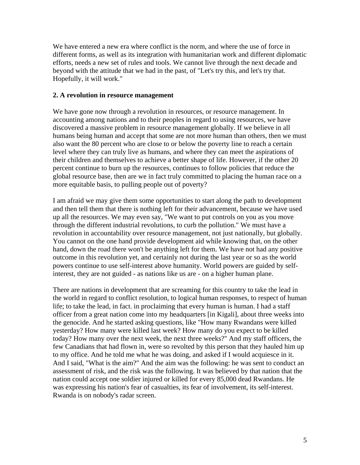We have entered a new era where conflict is the norm, and where the use of force in different forms, as well as its integration with humanitarian work and different diplomatic efforts, needs a new set of rules and tools. We cannot live through the next decade and beyond with the attitude that we had in the past, of "Let's try this, and let's try that. Hopefully, it will work."

#### **2. A revolution in resource management**

We have gone now through a revolution in resources, or resource management. In accounting among nations and to their peoples in regard to using resources, we have discovered a massive problem in resource management globally. If we believe in all humans being human and accept that some are not more human than others, then we must also want the 80 percent who are close to or below the poverty line to reach a certain level where they can truly live as humans, and where they can meet the aspirations of their children and themselves to achieve a better shape of life. However, if the other 20 percent continue to burn up the resources, continues to follow policies that reduce the global resource base, then are we in fact truly committed to placing the human race on a more equitable basis, to pulling people out of poverty?

I am afraid we may give them some opportunities to start along the path to development and then tell them that there is nothing left for their advancement, because we have used up all the resources. We may even say, "We want to put controls on you as you move through the different industrial revolutions, to curb the pollution." We must have a revolution in accountability over resource management, not just nationally, but globally. You cannot on the one hand provide development aid while knowing that, on the other hand, down the road there won't be anything left for them. We have not had any positive outcome in this revolution yet, and certainly not during the last year or so as the world powers continue to use self-interest above humanity. World powers are guided by selfinterest, they are not guided - as nations like us are - on a higher human plane.

There are nations in development that are screaming for this country to take the lead in the world in regard to conflict resolution, to logical human responses, to respect of human life; to take the lead, in fact. in proclaiming that every human is human. I had a staff officer from a great nation come into my headquarters [in Kigali], about three weeks into the genocide. And he started asking questions, like "How many Rwandans were killed yesterday? How many were killed last week? How many do you expect to be killed today? How many over the next week, the next three weeks?" And my staff officers, the few Canadians that had flown in, were so revolted by this person that they hauled him up to my office. And he told me what he was doing, and asked if I would acquiesce in it. And I said, "What is the aim?" And the aim was the following: he was sent to conduct an assessment of risk, and the risk was the following. It was believed by that nation that the nation could accept one soldier injured or killed for every 85,000 dead Rwandans. He was expressing his nation's fear of casualties, its fear of involvement, its self-interest. Rwanda is on nobody's radar screen.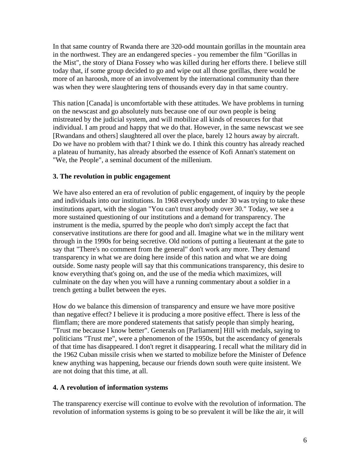In that same country of Rwanda there are 320-odd mountain gorillas in the mountain area in the northwest. They are an endangered species - you remember the film "Gorillas in the Mist", the story of Diana Fossey who was killed during her efforts there. I believe still today that, if some group decided to go and wipe out all those gorillas, there would be more of an haroosh, more of an involvement by the international community than there was when they were slaughtering tens of thousands every day in that same country.

This nation [Canada] is uncomfortable with these attitudes. We have problems in turning on the newscast and go absolutely nuts because one of our own people is being mistreated by the judicial system, and will mobilize all kinds of resources for that individual. I am proud and happy that we do that. However, in the same newscast we see [Rwandans and others] slaughtered all over the place, barely 12 hours away by aircraft. Do we have no problem with that? I think we do. I think this country has already reached a plateau of humanity, has already absorbed the essence of Kofi Annan's statement on "We, the People", a seminal document of the millenium.

# **3. The revolution in public engagement**

We have also entered an era of revolution of public engagement, of inquiry by the people and individuals into our institutions. In 1968 everybody under 30 was trying to take these institutions apart, with the slogan "You can't trust anybody over 30." Today, we see a more sustained questioning of our institutions and a demand for transparency. The instrument is the media, spurred by the people who don't simply accept the fact that conservative institutions are there for good and all. Imagine what we in the military went through in the 1990s for being secretive. Old notions of putting a lieutenant at the gate to say that "There's no comment from the general" don't work any more. They demand transparency in what we are doing here inside of this nation and what we are doing outside. Some nasty people will say that this communications transparency, this desire to know everything that's going on, and the use of the media which maximizes, will culminate on the day when you will have a running commentary about a soldier in a trench getting a bullet between the eyes.

How do we balance this dimension of transparency and ensure we have more positive than negative effect? I believe it is producing a more positive effect. There is less of the flimflam; there are more pondered statements that satisfy people than simply hearing, "Trust me because I know better". Generals on [Parliament] Hill with medals, saying to politicians "Trust me", were a phenomenon of the 1950s, but the ascendancy of generals of that time has disappeared. I don't regret it disappearing. I recall what the military did in the 1962 Cuban missile crisis when we started to mobilize before the Minister of Defence knew anything was happening, because our friends down south were quite insistent. We are not doing that this time, at all.

### **4. A revolution of information systems**

The transparency exercise will continue to evolve with the revolution of information. The revolution of information systems is going to be so prevalent it will be like the air, it will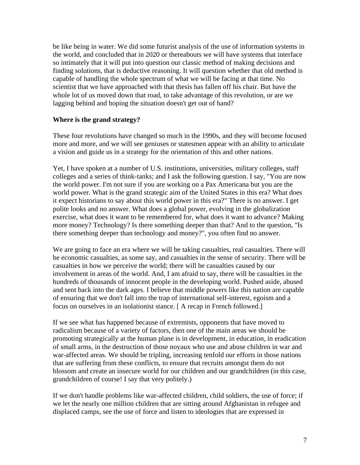be like being in water. We did some futurist analysis of the use of information systems in the world, and concluded that in 2020 or thereabouts we will have systems that interface so intimately that it will put into question our classic method of making decisions and finding solutions, that is deductive reasoning. It will question whether that old method is capable of handling the whole spectrum of what we will be facing at that time. No scientist that we have approached with that thesis has fallen off his chair. But have the whole lot of us moved down that road, to take advantage of this revolution, or are we lagging behind and hoping the situation doesn't get out of hand?

#### **Where is the grand strategy?**

These four revolutions have changed so much in the 1990s, and they will become focused more and more, and we will see geniuses or statesmen appear with an ability to articulate a vision and guide us in a strategy for the orientation of this and other nations.

Yet, I have spoken at a number of U.S. institutions, universities, military colleges, staff colleges and a series of think-tanks; and I ask the following question. I say, "You are now the world power. I'm not sure if you are working on a Pax Americana but you are the world power. What is the grand strategic aim of the United States in this era? What does it expect historians to say about this world power in this era?" There is no answer. I get polite looks and no answer. What does a global power, evolving in the globalization exercise, what does it want to be remembered for, what does it want to advance? Making more money? Technology? Is there something deeper than that? And to the question, "Is there something deeper than technology and money?", you often find no answer.

We are going to face an era where we will be taking casualties, real casualties. There will be economic casualties, as some say, and casualties in the sense of security. There will be casualties in how we perceive the world; there will be casualties caused by our involvement in areas of the world. And, I am afraid to say, there will be casualties in the hundreds of thousands of innocent people in the developing world. Pushed aside, abused and sent back into the dark ages. I believe that middle powers like this nation are capable of ensuring that we don't fall into the trap of international self-interest, egoism and a focus on ourselves in an isolationist stance. [ A recap in French followed.]

If we see what has happened because of extremists, opponents that have moved to radicalism because of a variety of factors, then one of the main areas we should be promoting strategically at the human plane is in development, in education, in eradication of small arms, in the destruction of those noyaux who use and abuse children in war and war-affected areas. We should be tripling, increasing tenfold our efforts in those nations that are suffering from these conflicts, to ensure that recruits amongst them do not blossom and create an insecure world for our children and our grandchildren (in this case, grandchildren of course! I say that very politely.)

If we don't handle problems like war-affected children, child soldiers, the use of force; if we let the nearly one million children that are sitting around Afghanistan in refugee and displaced camps, see the use of force and listen to ideologies that are expressed in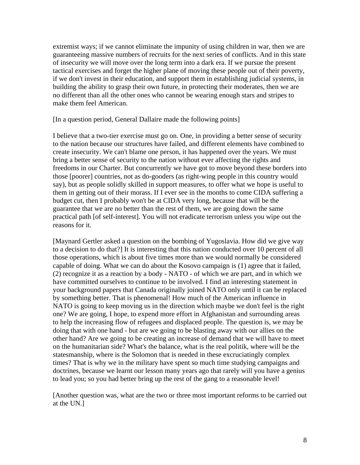extremist ways; if we cannot eliminate the impunity of using children in war, then we are guaranteeing massive numbers of recruits for the next series of conflicts. And in this state of insecurity we will move over the long term into a dark era. If we pursue the present tactical exercises and forget the higher plane of moving these people out of their poverty, if we don't invest in their education, and support them in establishing judicial systems, in building the ability to grasp their own future, in protecting their moderates, then we are no different than all the other ones who cannot be wearing enough stars and stripes to make them feel American.

[In a question period, General Dallaire made the following points]

I believe that a two-tier exercise must go on. One, in providing a better sense of security to the nation because our structures have failed, and different elements have combined to create insecurity. We can't blame one person, it has happened over the years. We must bring a better sense of security to the nation without ever affecting the rights and freedoms in our Charter. But concurrently we have got to move beyond these borders into those [poorer] countries, not as do-gooders (as right-wing people in this country would say), but as people solidly skilled in support measures, to offer what we hope is useful to them in getting out of their morass. If I ever see in the months to come CIDA suffering a budget cut, then I probably won't be at CIDA very long, because that will be the guarantee that we are no better than the rest of them, we are going down the same practical path [of self-interest]. You will not eradicate terrorism unless you wipe out the reasons for it.

[Maynard Gertler asked a question on the bombing of Yugoslavia. How did we give way to a decision to do that?] It is interesting that this nation conducted over 10 percent of all those operations, which is about five times more than we would normally be considered capable of doing. What we can do about the Kosovo campaign is (1) agree that it failed, (2) recognize it as a reaction by a body - NATO - of which we are part, and in which we have committed ourselves to continue to be involved. I find an interesting statement in your background papers that Canada originally joined NATO only until it can be replaced by something better. That is phenomenal! How much of the American influence in NATO is going to keep moving us in the direction which maybe we don't feel is the right one? We are going, I hope, to expend more effort in Afghanistan and surrounding areas to help the increasing flow of refugees and displaced people. The question is, we may be doing that with one hand - but are we going to be blasting away with our allies on the other hand? Are we going to be creating an increase of demand that we will have to meet on the humanitarian side? What's the balance, what is the real politik, where will be the statesmanship, where is the Solomon that is needed in these excruciatingly complex times? That is why we in the military have spent so much time studying campaigns and doctrines, because we learnt our lesson many years ago that rarely will you have a genius to lead you; so you had better bring up the rest of the gang to a reasonable level!

[Another question was, what are the two or three most important reforms to be carried out at the UN.]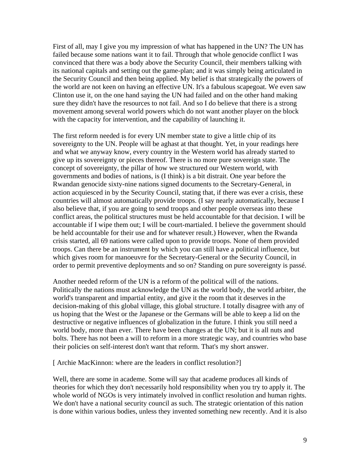First of all, may I give you my impression of what has happened in the UN? The UN has failed because some nations want it to fail. Through that whole genocide conflict I was convinced that there was a body above the Security Council, their members talking with its national capitals and setting out the game-plan; and it was simply being articulated in the Security Council and then being applied. My belief is that strategically the powers of the world are not keen on having an effective UN. It's a fabulous scapegoat. We even saw Clinton use it, on the one hand saying the UN had failed and on the other hand making sure they didn't have the resources to not fail. And so I do believe that there is a strong movement among several world powers which do not want another player on the block with the capacity for intervention, and the capability of launching it.

The first reform needed is for every UN member state to give a little chip of its sovereignty to the UN. People will be aghast at that thought. Yet, in your readings here and what we anyway know, every country in the Western world has already started to give up its sovereignty or pieces thereof. There is no more pure sovereign state. The concept of sovereignty, the pillar of how we structured our Western world, with governments and bodies of nations, is (I think) is a bit distrait. One year before the Rwandan genocide sixty-nine nations signed documents to the Secretary-General, in action acquiesced in by the Security Council, stating that, if there was ever a crisis, these countries will almost automatically provide troops. (I say nearly automatically, because I also believe that, if you are going to send troops and other people overseas into these conflict areas, the political structures must be held accountable for that decision. I will be accountable if I wipe them out; I will be court-martialed. I believe the government should be held accountable for their use and for whatever result.) However, when the Rwanda crisis started, all 69 nations were called upon to provide troops. None of them provided troops. Can there be an instrument by which you can still have a political influence, but which gives room for manoeuvre for the Secretary-General or the Security Council, in order to permit preventive deployments and so on? Standing on pure sovereignty is passé.

Another needed reform of the UN is a reform of the political will of the nations. Politically the nations must acknowledge the UN as the world body, the world arbiter, the world's transparent and impartial entity, and give it the room that it deserves in the decision-making of this global village, this global structure. I totally disagree with any of us hoping that the West or the Japanese or the Germans will be able to keep a lid on the destructive or negative influences of globalization in the future. I think you still need a world body, more than ever. There have been changes at the UN; but it is all nuts and bolts. There has not been a will to reform in a more strategic way, and countries who base their policies on self-interest don't want that reform. That's my short answer.

[ Archie MacKinnon: where are the leaders in conflict resolution?]

Well, there are some in academe. Some will say that academe produces all kinds of theories for which they don't necessarily hold responsibility when you try to apply it. The whole world of NGOs is very intimately involved in conflict resolution and human rights. We don't have a national security council as such. The strategic orientation of this nation is done within various bodies, unless they invented something new recently. And it is also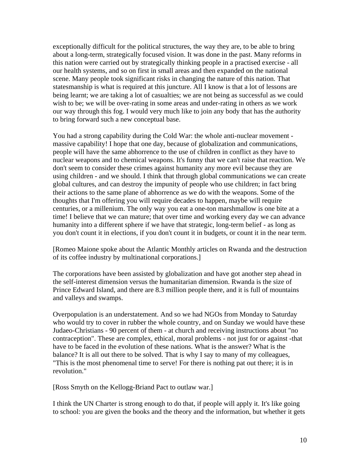exceptionally difficult for the political structures, the way they are, to be able to bring about a long-term, strategically focused vision. It was done in the past. Many reforms in this nation were carried out by strategically thinking people in a practised exercise - all our health systems, and so on first in small areas and then expanded on the national scene. Many people took significant risks in changing the nature of this nation. That statesmanship is what is required at this juncture. All I know is that a lot of lessons are being learnt; we are taking a lot of casualties; we are not being as successful as we could wish to be; we will be over-rating in some areas and under-rating in others as we work our way through this fog. I would very much like to join any body that has the authority to bring forward such a new conceptual base.

You had a strong capability during the Cold War: the whole anti-nuclear movement massive capability! I hope that one day, because of globalization and communications, people will have the same abhorrence to the use of children in conflict as they have to nuclear weapons and to chemical weapons. It's funny that we can't raise that reaction. We don't seem to consider these crimes against humanity any more evil because they are using children - and we should. I think that through global communications we can create global cultures, and can destroy the impunity of people who use children; in fact bring their actions to the same plane of abhorrence as we do with the weapons. Some of the thoughts that I'm offering you will require decades to happen, maybe will require centuries, or a millenium. The only way you eat a one-ton marshmallow is one bite at a time! I believe that we can mature; that over time and working every day we can advance humanity into a different sphere if we have that strategic, long-term belief - as long as you don't count it in elections, if you don't count it in budgets, or count it in the near term.

[Romeo Maione spoke about the Atlantic Monthly articles on Rwanda and the destruction of its coffee industry by multinational corporations.]

The corporations have been assisted by globalization and have got another step ahead in the self-interest dimension versus the humanitarian dimension. Rwanda is the size of Prince Edward Island, and there are 8.3 million people there, and it is full of mountains and valleys and swamps.

Overpopulation is an understatement. And so we had NGOs from Monday to Saturday who would try to cover in rubber the whole country, and on Sunday we would have these Judaeo-Christians - 90 percent of them - at church and receiving instructions about "no contraception". These are complex, ethical, moral problems - not just for or against -that have to be faced in the evolution of these nations. What is the answer? What is the balance? It is all out there to be solved. That is why I say to many of my colleagues, "This is the most phenomenal time to serve! For there is nothing pat out there; it is in revolution."

[Ross Smyth on the Kellogg-Briand Pact to outlaw war.]

I think the UN Charter is strong enough to do that, if people will apply it. It's like going to school: you are given the books and the theory and the information, but whether it gets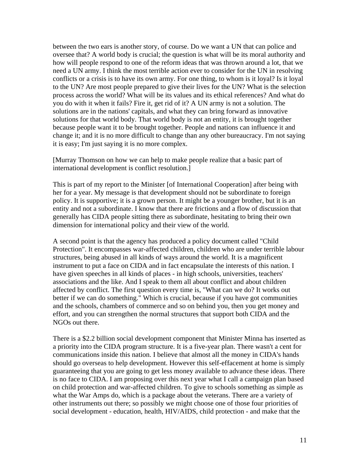between the two ears is another story, of course. Do we want a UN that can police and oversee that? A world body is crucial; the question is what will be its moral authority and how will people respond to one of the reform ideas that was thrown around a lot, that we need a UN army. I think the most terrible action ever to consider for the UN in resolving conflicts or a crisis is to have its own army. For one thing, to whom is it loyal? Is it loyal to the UN? Are most people prepared to give their lives for the UN? What is the selection process across the world? What will be its values and its ethical references? And what do you do with it when it fails? Fire it, get rid of it? A UN army is not a solution. The solutions are in the nations' capitals, and what they can bring forward as innovative solutions for that world body. That world body is not an entity, it is brought together because people want it to be brought together. People and nations can influence it and change it; and it is no more difficult to change than any other bureaucracy. I'm not saying it is easy; I'm just saying it is no more complex.

[Murray Thomson on how we can help to make people realize that a basic part of international development is conflict resolution.]

This is part of my report to the Minister [of International Cooperation] after being with her for a year. My message is that development should not be subordinate to foreign policy. It is supportive; it is a grown person. It might be a younger brother, but it is an entity and not a subordinate. I know that there are frictions and a flow of discussion that generally has CIDA people sitting there as subordinate, hesitating to bring their own dimension for international policy and their view of the world.

A second point is that the agency has produced a policy document called "Child Protection". It encompasses war-affected children, children who are under terrible labour structures, being abused in all kinds of ways around the world. It is a magnificent instrument to put a face on CIDA and in fact encapsulate the interests of this nation. I have given speeches in all kinds of places - in high schools, universities, teachers' associations and the like. And I speak to them all about conflict and about children affected by conflict. The first question every time is, "What can we do? It works out better if we can do something." Which is crucial, because if you have got communities and the schools, chambers of commerce and so on behind you, then you get money and effort, and you can strengthen the normal structures that support both CIDA and the NGOs out there.

There is a \$2.2 billion social development component that Minister Minna has inserted as a priority into the CIDA program structure. It is a five-year plan. There wasn't a cent for communications inside this nation. I believe that almost all the money in CIDA's hands should go overseas to help development. However this self-effacement at home is simply guaranteeing that you are going to get less money available to advance these ideas. There is no face to CIDA. I am proposing over this next year what I call a campaign plan based on child protection and war-affected children. To give to schools something as simple as what the War Amps do, which is a package about the veterans. There are a variety of other instruments out there; so possibly we might choose one of those four priorities of social development - education, health, HIV/AIDS, child protection - and make that the